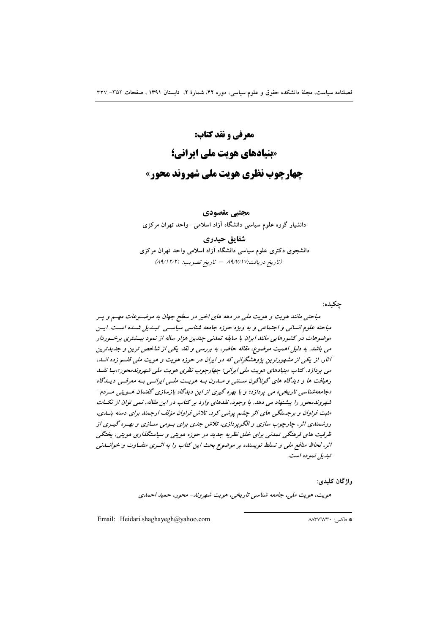مجتبے مقصودی

دانشیار گروه علوم سیاسی دانشگاه آزاد اسلامی- واحد تهران مرکزی

# شقايق حيدري

دانشجوی دکتری علوم سیاسی دانشگاه آزاد اسلامی واحد تهران مرکزی (تاريخ دريافت:١٧/١٧ – تاريخ تصويب: ٨٩/١٢/٢)

چکیده: مباحثی مانند هویت و هویت ملی در دهه های اخیر در سطح جهان به موضـوعات مهـم و پـر مباحثه علوم انسانی و اجتماعی و به ویژه حوزه جامعه شناسی سیاستی تبیدیل شبده است. ایین موضوعات در کشورهایی مانند ایران با سابقه تمدنی جندین هزار ساله از نمود بیـشتری برخـوردار می باشد. به دلیل اهمیت موضوع، مقاله حاضر، به بررسی و نقد یکی از شاخص ترین و جدیدترین آثار، از یکی از مشهورترین پژوهشگرانی که در ایران در حوزه هویت و هویت ملی قلــم زده انــد، می پردازد. کتاب «بنیادهای هویت ملی ایرانی؛ چهارچوب نظری هویت ملی شهروندمحور»،بـا نقــد رهیافت ها و دیدگاه های گوناگون سـنتی و مـلرن بـه هویـت ملـی ایرانـی بـه معرفـی دیـلگاه «جامعه شناسی تاریخی» می پردازد؛ و با بهره گیری از این دیدگاه بازسازی گفتمان هسویتی میردم-شهروندمحور را پیشنهاد می دهد. با وجود، نقدهای وارد بر کتاب در این مقاله، نمی توان از نکسات مثبت فراوان و برجستگی های اثر چشم پوشی کرد. تلاش فراوان مؤلف ارجمند برای دسته بنسدی، روشهندی اثر، چارچوب سازی و الگوپردازی، تلاش جدی برای بومی سـازی و بهـره گیـری از ظرفیت های فرهنگی تمدنی برای خلق نظریه جدید در حوزه هویتی و سیاستگذاری هویتی، پختگی اثر، لحاظ منافع ملی و تسلط نویسنده بر موضوع بحث این کتاب را به اثـری متفـاوت و خوانـدنی تبديل نموده است.

# واژگان كليدي:

هويت، هويت ملي، جامعه شناسي تاريخي، هويت شهروند- محور، حميد احمدي

Email: Heidari.shaghayegh@yahoo.com

\* فاكس: ٨٨٣٧٦٧٣٠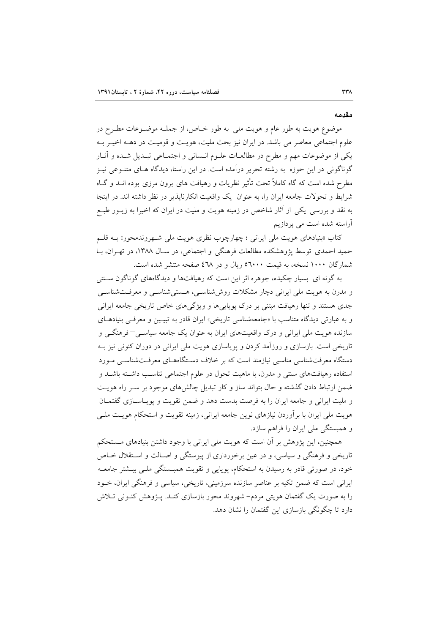# مقدمه

موضوع هويت به طور عام و هويت ملي به طور خـاص، از جملـه موضـوعات مطـرح در علوم اجتماعی معاصر می باشد. در ایران نیز بحث ملیت، هویـت و قومیـت در دهــه اخیــر بــه یکی از موضوعات مهم و مطرح در مطالعـات علــوم انــسانی و اجتمــاعی تبــدیل شــده و آثــار گوناگونی در این حوزه به رشته تحریر درآمده است. در این راستا، دیدگاه هـای متنــوعی نیــز مطرح شده است که گاه کاملاً تحت تأثیر نظریات و رهیافت های برون مرزی بوده انــد و گــاه شرایط و تحولات جامعه ایران را، به عنوان یک واقعیت انکارناپذیر در نظر داشته اند. در اینجا به نقد و بررسی یکی از آثار شاخص در زمینه هویت و ملیت در ایران که اخیرا به زیــور طبــع آراسته شده است می پردازیم

کتاب «بنیادهای هویت مل<sub>ی</sub> ایرانی ؛ چهارچوب نظری هویت مل<sub>ی</sub> شهروندمحور» بـه قلـم حمید احمدی توسط پژوهشکده مطالعات فرهنگی و اجتماعی، در سـال ۱۳۸۸، در تهـران، بـا شمارگان ۱۰۰۰ نسخه، به قیمت ۵٦۰۰۰ ریال و در ٤٦٨ صفحه منتشر شده است.

به گونه ای بسیار چکیده، جوهره اثر این است که رهیافتها و دیدگاههای گوناگون سـنتی و مدرن به هويت ملي ايراني دچار مشكلات روششناسـي، هـستيشناسـي و معرفـتشناسـي جدی هستند و تنها رهیافت مبتنی بر درک پویاییها و ویژگیهای خاص تاریخی جامعه ایرانی و به عبارتی دیدگاه متناسب با «جامعهشناسی تاریخی» ایران قادر به تبیـین و معرفـی بنیادهـای سازنده هویت ملی ایرانی و درک واقعیتهای ایران به عنوان یک جامعه سیاسـی– فرهنگــی و تاریخی است. بازسازی و روزآمد کردن و پویاسازی هویت ملی ایرانی در دوران کنونی نیز بـه دستگاه معرفتشناسی مناسبی نیازمند است که بر خلاف دستگاههـای معرفـتشناسـی مـورد استفاده رهیافتهای سنتی و مدرن، با ماهیت تحول در علوم اجتماعی تناسب داشته باشـد و ضمن ارتباط دادن گذشته و حال بتواند ساز و کار تبدیل چالش های موجود بر سـر راه هویـت و ملیت ایرانی و جامعه ایران را به فرصت بدست دهد و ضمن تقویت و پویـاسـازی گفتمـان هویت ملی ایران با برآوردن نیازهای نوین جامعه ایرانی، زمینه تقویت و استحکام هویـت ملـی و همبستگی ملی ایران را فراهم سازد.

همچنین، این پژوهش بر آن است که هویت ملی ایرانی با وجود داشتن بنیادهای مستحکم تاریخی و فرهنگی و سیاسی، و در عین برخورداری از پیوستگی و اصـالت و اسـتقلال خـاص خود، در صورتی قادر به رسیدن به استحکام، پویایی و تقویت همبـستگی ملـی بیـشتر جامعـه ایرانی است که ضمن تکیه بر عناصر سازنده سرزمینی، تاریخی، سیاسی و فرهنگی ایران، خــود را به صورت یک گفتمان هویتی مردم– شهروند محور بازسازی کنـد. پــژوهش کنــونی تــلاش دارد تا چگونگی بازسازی این گفتمان را نشان دهد.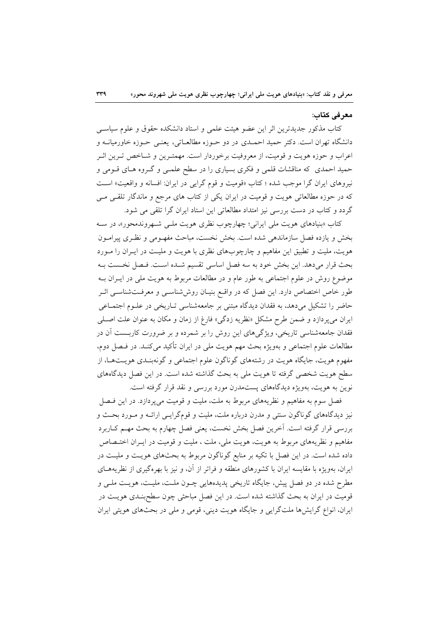# معرفي كتاب:

کتاب مذکور جدیدترین اثر این عضو هیئت علمی و استاد دانشکده حقوق و علوم سیاسبی دانشگاه تهران است. دکتر حمید احمـدی در دو حــوزه مطالعــاتی، یعنــی حــوزه خاورمیانــه و اعراب و حوزه هويت و قوميت، از معروفيت برخوردار است. مهمتـرين و شـاخص تـرين اثـر حمید احمدی که مناقشات قلمی و فکری بسیاری را در سطح علمـی و گـروه هـای قـومی و نیروهای ایران گرا موجب شده ؛ کتاب «قومیت و قوم گرایی در ایران: افسانه و واقعیت» است که در حوزه مطالعاتی هویت و قومیت در ایران یکی از کتاب های مرجع و ماندگار تلقبی مبی گردد و کتاب در دست بررسی نیز امتداد مطالعاتی این استاد ایران گرا تلقی می شود.

کتاب «بنیادهای هویت مل<sub>ی</sub> ایرانی؛ چهارچوب نظری هویت مل<sub>حی</sub> شهروندمحور»، در سه بخش و یازده فصل سازماندهی شده است. بخش نخست، مباحث مفهـومی و نظـری پیرامـون هویت، ملیت و تطبیق این مفاهیم و چارچوبهای نظری با هویت و ملیـت در ایــران را مــورد بحث قرار مىدهد. اين بخش خود به سه فصل اساسى تقسيم شـده اسـت. فـصل نخـست بـه موضوع روش در علوم اجتماعی به طور عام و در مطالعات مربوط به هویت ملی در ایــران بــه طور خاص اختصاص دارد. این فصل که در واقـع بنیـان روششناسـی و معرفـتشناسـی اثـر حاضر را تشکیل میدهد، به فقدان دیدگاه مبتنی بر جامعهشناسی تـاریخی در علـوم اجتمـاعی ایران میپردازد و ضمن طرح مشکل «نظریه زدگی» فارغ از زمان و مکان به عنوان علت اصـلی فقدان جامعهشناسی تاریخی، ویژگیهای این روش را بر شمرده و بر ضرورت کاربست آن در مطالعات علوم اجتماعی و بهویژه بحث مهم هویت ملی در ایران تأکید میکنـد. در فـصل دوم، مفهوم هويت، جايگاه هويت در رشتههاي گوناگون علوم اجتماعي و گونهبنـدي هويـتهـا، از سطح هویت شخصی گرفته تا هویت ملی به بحث گذاشته شده است. در این فصل دیدگاههای نوین به هویت، بهویژه دیدگاههای پستمدرن مورد بررسی و نقد قرار گرفته است.

فصل سوم به مفاهیم و نظریههای مربوط به ملت، ملیت و قومیت می پردازد. در این فیصل نیز دیدگاههای گوناگون سنتی و مدرن درباره ملت، ملیت و قومگرایـی ارائـه و مـورد بحـث و بررسی قرار گرفته است. آخرین فصل بخش نخست، یعنی فصل چهارم به بحث مهـم کــاربرد مفاهیم و نظریههای مربوط به هویت، هویت ملی، ملت ، ملیت و قومیت در ایـران اختـصاص داده شده است. در این فصل با تکیه بر منابع گوناگون مربوط به بحثهای هویـت و ملیـت در ایران، بهویژه با مقایسه ایران با کشورهای منطقه و فراتر از آن، و نیز با بهرهگیری از نظریههـای مطرح شده در دو فصل پیش، جایگاه تاریخی پدیدههایی چـون ملـت، ملیـت، هویـت ملـی و قومیت در ایران به بحث گذاشته شده است. در این فصل مباحثی چون سطحبنـدی هویـت در ایران، انواع گرایش ها ملتگرایی و جایگاه هویت دینی، قومی و ملی در بحثهای هویتی ایران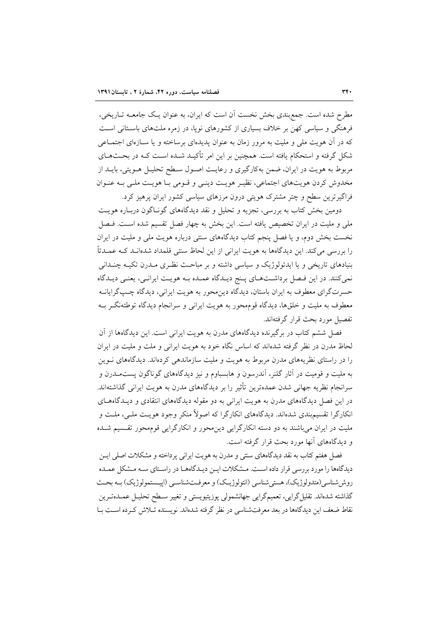مطرح شده است. جمع بندی بخش نخست آن است که ایران، به عنوان یک جامعــه تــاریخی، فرهنگی و سیاسی کهن بر خلاف بسیاری از کشورهای نویا، در زمره ملتهای باستانی است که در آن هویت ملی و ملیت به مرور زمان به عنوان پدیدهای برساخته و یا سـازهای اجتمـاعی شکل گرفته و استحکام یافته است. همچنین بر این امر تأکیـد شـده اسـت کـه در بحـثهـای مربوط به هویت در ایران، ضمن بهکارگیری و رعایـت اصـول سـطح تحلیـل هـویتی، بایــد از مخدوش کردن هویتهای اجتماعی، نظیـر هویـت دینـی و قـومی بـا هویـت ملـی بـه عنـوان فراگیرترین سطح و چتر مشترک هویتی درون مرزهای سیاسی کشور ایران پرهیز کرد.

دومین بخش کتاب به بررسی، تجزیه و تحلیل و نقد دیدگاههای گونـاگون دربـاره هویـت ملی و ملیت در ایران تخصیص یافته است. این بخش به چهار فصل تقسیم شده است. فـصل نخست بخش دوم، و یا فصل پنجم کتاب دیدگاههای سنتی درباره هویت ملی و ملیت در ایران را بررسی میکند. این دیدگاهها به هویت ایرانی از این لحاظ سنتی قلمداد شدهانـد کــه عمــدتاً بنیادهای تاریخی و یا ایدئولوژیک و سیاسی داشته و بر مباحث نظری مـدرن تکیـه چنـدانی نمی کنند. در این فصل برداشتهای پنج دیـدگاه عمـده بـه هویـت ایرانـی، یعنـی دیـدگاه حسرتگرای معطوف به ایران باستان، دیدگاه دین.محور به هویت ایرانی، دیدگاه چـپگرایانــه معطوف به ملیت و خلقها، دیدگاه قومهحور به هویت ایرانی و سرانجام دیدگاه توطئهنگر بـه تفصیل مورد بحث قرار گرفتهاند.

فصل ششم کتاب در برگیرنده دیدگاههای مدرن به هویت ایرانی است. این دیدگاهها از آن لحاظ مدرن در نظر گرفته شدهاند که اساس نگاه خود به هویت ایرانی و ملت و ملیت در ایران را در راستای نظریههای مدرن مربوط به هویت و ملیت سازماندهی کردهاند. دیدگاههای نـوین به ملیت و قومیت در آثار گلنر، آندرسون و هابسباوم و نیز دیدگاههای گوناگون پستمــدرن و سرانجام نظریه جهانی شدن عمدهترین تأثیر را بر دیدگاههای مدرن به هویت ایرانی گذاشتهاند. در این فصل دیدگاههای مدرن به هویت ایرانی به دو مقوله دیدگاههای انتقادی و دیـدگاههـای انکارگرا تقسیم.بندی شدهاند. دیدگاههای انکارگرا که اصولاً منکر وجود هویـت ملـی، ملـت و ملیت در ایران می باشند به دو دسته انکارگرایی دین محور و انکارگرایی قوم محور تقسیم شـده و دیدگاههای آنها مورد بحث قرار گرفته است.

فصل هفتم کتاب به نقد دیدگاههای سنتی و مدرن به هویت ایرانی پرداخته و مشکلات اصلی ایــن دیدگاهها را مورد بررسی قرار داده است. مـشکلات ایــن دیــدگاههــا در راسـتای ســه مـشکل عمــده روش شناسي (متدولوژيک)، هستي شناسي (انتولوژيـک) و معرفـتشناسـي (اييــستمولوژيک) بــه بحـث گذاشته شدهاند. تقلیل گرایی، تعمیمگرایی جهانشمولی پوزیتیویستی و تغییر سـطح تحلیـل عمــدهتــرین نقاط ضعف این دیدگاهها در بعد معرفتشناسی در نظر گرفته شدهاند. نویسنده تـلاش کـرده اسـت بـا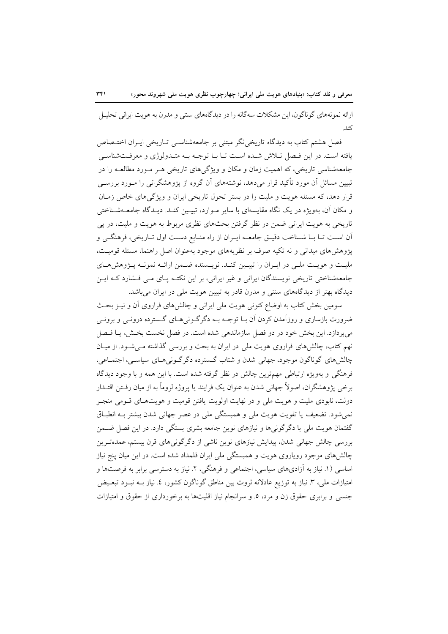ارائه نمونههای گوناگون، این مشکلات سهگانه را در دیدگاههای سنتی و مدرن به هویت ایرانی تحلیـل كند.

فصل هشتم کتاب به دیدگاه تاریخی نگر مبتنی بر جامعهشناسـی تـاریخی ایـران اختـصاص يافته است. در اين فيصل تبلاش شيده است تبا ببا توجيه بيه متبدولوژي و معرفت شناسي جامعهشناسی تاریخی، که اهمیت زمان و مکان و ویژگیهای تاریخی هـر مـورد مطالعـه را در تبیین مسائل آن مورد تأکید قرار میدهد، نوشتههای آن گروه از پژوهشگرانی را مـورد بررسـی قرار دهد، که مسئله هویت و ملیت را در بستر تحول تاریخی ایران و ویژگیهای خاص زمـان و مکان آن، بهویژه در یک نگاه مقایسهای با سایر مـوارد، تبیـین کنـد. دیـدگاه جامعـهشـناختی تاریخی به هویت ایرانی ضمن در نظر گرفتن بحثهای نظری مربوط به هویت و ملیت، در پی اّن اسـت تـا بـا شـناخت دقيـق جامعــه ايـران از راه منــابع دسـت اول تــاريخي، فرهنگــي و یژوهش های میدانی و نه تکیه صرف بر نظریههای موجود بهعنوان اصل راهنما، مسئله قومیت، ملیت و هویت ملـی در ایـران را تبیـین کنـد. نویـسنده ضـمن ارائـه نمونـه پـژوهشهـای جامعهشناختی تاریخی نویسندگان ایرانی و غیر ایرانی، بر این نکتـه پـای مـی فـشارد کـه ایـن دیدگاه بهتر از دیدگاههای سنتی و مدرن قادر به تبیین هویت ملی در ایران میباشد.

سومین بخش کتاب به اوضاع کنونی هویت ملی ایرانی و چالشهای فراروی آن و نیـز بحـث ضرورت بازسازی و روزآمدن کردن آن بـا توجـه بـه دگرگـونی۵حـای گـسترده درونـی و برونـی می پردازد. این بخش خود در دو فصل سازماندهی شده است. در فصل نخست بخش، یـا فـصل نهم کتاب، چالشهای فراروی هویت ملی در ایران به بحث و بررسی گذاشته مـی شـود. از میـان چالش های گوناگون موجود، جهانی شدن و شتاب گسترده دگرگونی هـای سیاسـی، اجتمـاعی، فرهنگی و بهویژه ارتباطی مهمترین چالش در نظر گرفته شده است. با این همه و با وجود دیدگاه برخی پژوهشگران، اصولاً جهانی شدن به عنوان یک فرایند یا پروژه لزوماً به از میان رفــتن اقتــدار دولت، نابودی ملیت و هویت ملی و در نهایت اولویت یافتن قومیت و هویتهـای قــومی منجــر نمی شود. تضعیف یا تقویت هویت ملی و همبستگی ملی در عصر جهانی شدن بیشتر بـه انطبـاق گفتمان هويت ملي با دگر گونې ها و نيازهاي نوين جامعه بشري بستگي دارد. در اين فصل ضــمن بررسی چالش جهانی شدن، پیدایش نیازهای نوین ناشی از دگرگونی های قرن بیستم، عمدهترین چالش های موجود رویاروی هویت و همبستگی ملی ایران قلمداد شده است. در این میان پنج نیاز اساسی (۱. نیاز به آزادیهای سیاسی، اجتماعی و فرهنگی، ۲. نیاز به دسترسی برابر به فرصتها و امتیازات ملی، ۳. نیاز به توزیع عادلانه ثروت بین مناطق گوناگون کشور، ٤. نیاز بـه نبـود تبعـیض جنسی و برابری حقوق زن و مرد، ٥. و سرانجام نیاز اقلیتها به برخورداری از حقوق و امتیازات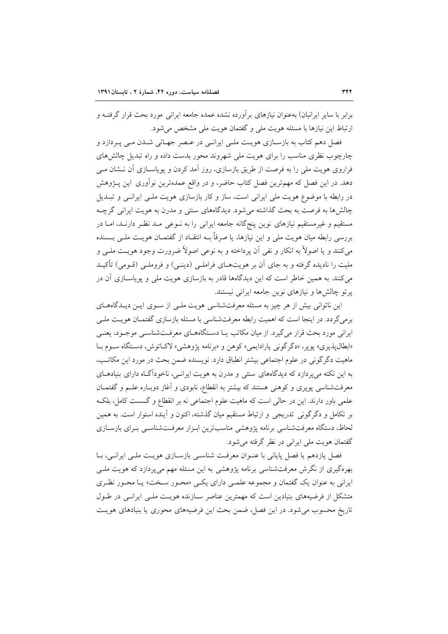برابر با سایر ایرانیان) بهعنوان نیازهای برآورده نشده عمده جامعه ایرانی مورد بحث قرار گرفتــه و ارتباط این نیازها با مسئله هویت ملی و گفتمان هویت ملی مشخص می شود.

فصل دهم کتاب به بازسـازی هویـت ملـی ایرانـی در عـصر جهـانی شـدن مـی پـردازد و چارچوب نظری مناسب را برای هویت ملی شهروند محور بدست داده و راه تبدیل چالش های فراروی هویت ملی را به فرصت از طریق بازسازی، روز آمد کردن و پویاسـازی آن نـشان مـی دهد. در این فصل که مهمترین فصل کتاب حاضر، و در واقع عمدهترین نوآوری این پـژوهش در رابطه با موضوع هویت ملی ایرانی است، ساز و کار بازسازی هویت ملـی ایرانـی و تبـدیل چالش ها به فرصت به بحث گذاشته می شود. دیدگاههای سنتی و مدرن به هویت ایرانی گرچــه مستقیم و غیرمستقیم نیازهای نوین پنجگانه جامعه ایرانی را به نـوعی مـد نظـر دارنـد، امـا در بررسی رابطه میان هویت ملی و این نیازها، یا صرفاً بــه انتقــاد از گفتمــان هویــت ملــی بــسنده مي كنند و يا اصولاً به انكار و نفي آن يرداخته و به نوعي اصولاً ضرورت وجود هويـت ملـي و ملیت را نادیده گرفته و به جای آن بر هویتهـای فراملـی (دینـی) و فروملـی (قــومی) تأکیــد می کنند. به همین خاطر است که این دیدگاهها قادر به بازسازی هویت ملی و پویاســازی آن در پرتو چالشها و نیازهای نوین جامعه ایرانی نیستند.

این ناتوانی بیش از هر چیز به مسئله معرفتشناسی هویت ملـی از سـوی ایـن دیـدگاههـای برمی گردد. در اینجا است که اهمیت رابطه معرفتشناسی با مسئله بازسازی گفتمـان هویـت ملـی ایرانی مورد بحث قرار می گیرد. از میان مکاتب یـا دسـتگاههـای معرفـتشناسـی موجـود، یعنـی «ابطال پذيري» پوير، «دگرگوني پارادايمي» كوهن و «برنامه پژوهشي» لاك اتوش، دستگاه سـوم بـا ماهيت دگرگوني در علوم اجتماعي بيشتر انطباق دارد. نويسنده ضمن بحث در مورد اين مكاتب، به این نکته میپردازد که دیدگاههای سنتی و مدرن به هویت ایرانـی، ناخوداگـاه دارای بنیادهـای معرفتشناسی پویری و کوهنی هستند که بیشتر به انقطاع، نابودی و آغاز دوبـاره علـم و گفتمـان علمی باور دارند. این در حالی است که ماهیت علوم اجتماعی نه بر انقطاع و گسست کامل، بلکـه بر تکامل و دگرگونی تدریجی و ارتباط مستقیم میان گذشته، اکنون و آینده استوار است. به همین لحاظ، دستگاه معرفتشناسی برنامه پژوهشی مناسبترین ابـزار معرفـتشناسـی بـرای بازسـازی گفتمان هويت ملي ايراني در نظر گرفته مي شود.

فصل یازدهم یا فصل پایانی با عنـوان معرفـت شناسـی بازسـازی هویـت ملـی ایرانـی، بـا بهرهگیری از نگرش معرفتشناسی برنامه پژوهشی به این مسئله مهم میپردازد که هویت ملـی ایرانی به عنوان یک گفتمان و مجموعه علمبی دارای یکبی «محـور سـخت» یــا محـور نظـری متشکل از فرضیههای بنیادین است که مهمترین عناصر سـازنده هویـت ملـی ایرانـی در طـول تاریخ محسوب می شود. در این فصل، ضمن بحث این فرضیههای محوری یا بنیادهای هویت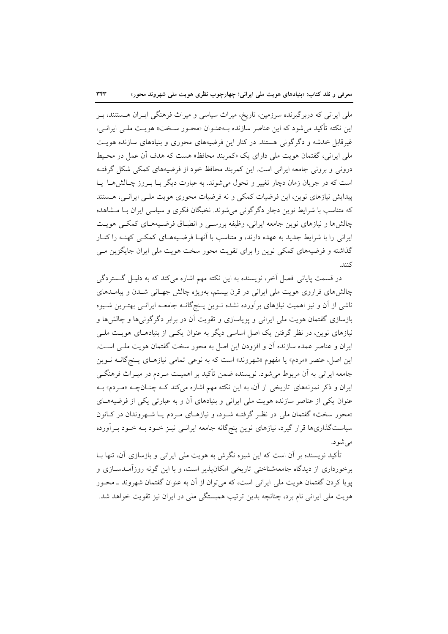ملی ایرانی که دربرگیرنده سرزمین، تاریخ، میراث سیاسی و میراث فرهنگی ایــران هــستتند، بــر این نکته تأکید می شود که این عناصر سازنده بـهعنـوان «محـور سـخت» هویـت ملـی ایرانـی، غیرقابل خدشه و دگرگونی هستند. در کنار این فرضیههای محوری و بنیادهای سازنده هویت ملي ايراني، گفتمان هويت ملي داراي يک «کمربند محافظ» هست که هدف آن عمل در محـيط درونی و برونی جامعه ایرانی است. این کمربند محافظ خود از فرضیههای کمکی شکل گرفتـه است که در جریان زمان دچار تغییر و تحول می شوند. به عبارت دیگر بــا بــروز چــالش هــا پــا پیدایش نیازهای نوین، این فرضیات کمکی و نه فرضیات محوری هویت ملبی ایرانبی، هستند که متناسب با شرایط نوین دچار دگر گونی می شوند. نخبگان فکری و سیاسی ایران بـا مــشاهده چالش ها و نیازهای نوین جامعه ایرانی، وظیفه بررسـی و انطبـاق فرضـیههـای کمکـی هویـت ایرانی را با شرایط جدید به عهده دارند، و متناسب با آنهـا فرضـیههـای کمکـی کهنـه را کنـار گذاشته و فرضیههای کمکی نوین را برای تقویت محور سخت هویت ملی ایران جایگزین مـی كنند.

در قسمت پایانی فصل آخر، نویسنده به این نکته مهم اشاره میکند که به دلیـل گـستردگی چالش های فراروی هویت ملی ایرانی در قرن بیستم، بهویژه چالش جهـانی شـدن و پیامـدهای ناشی از آن و نیز اهمیت نیازهای برآورده نشده نـوین پـنجگانــه جامعــه ایرانــی بهتـرین شــیوه بازسازی گفتمان هویت ملی ایرانی و پویاسازی و تقویت آن در برابر دگرگونیها و چالشها و نیازهای نوین، در نظر گرفتن یک اصل اساسی دیگر به عنوان یکسی از بنیادهـای هویـت ملـی ایران و عناصر عمده سازنده آن و افزودن این اصل به محور سخت گفتمان هویت ملـی اسـت. این اصل، عنصر «مردم» یا مفهوم «شهروند» است که به نوعی تمامی نیازهـای پـنجگانــه نــوین جامعه ایرانی به آن مربوط میشود. نویسنده ضمن تأکید بر اهمیت مـردم در میـراث فرهنگـی ایران و ذکر نمونههای تاریخی از آن، به این نکته مهم اشاره میکند کـه چنـانچـه «مـردم» بـه عنوان یکی از عناصر سازنده هویت ملی ایرانی و بنیادهای آن و به عبارتی یکی از فرضیههـای «محور سخت» گفتمان ملی در نظر گرفتـه شـود، و نیازهـای مـردم یـا شـهروندان در كـانون سیاستگذاریها قرار گیرد، نیازهای نوین پنجگانه جامعه ایرانـی نیـز خـود بـه خـود بـرآورده مے شو د.

تأکید نویسنده بر آن است که این شیوه نگرش به هویت ملی ایرانی و بازسازی آن، تنها بــا برخورداری از دیدگاه جامعهشناختی تاریخی امکان پذیر است، و با این گونه روزآمـدســازی و یویا کردن گفتمان هویت ملی ایرانی است، که می توان از آن به عنوان گفتمان شهروند ــ محــور هویت ملی ایرانی نام برد، چنانچه بدین ترتیب همبستگی ملی در ایران نیز تقویت خواهد شد.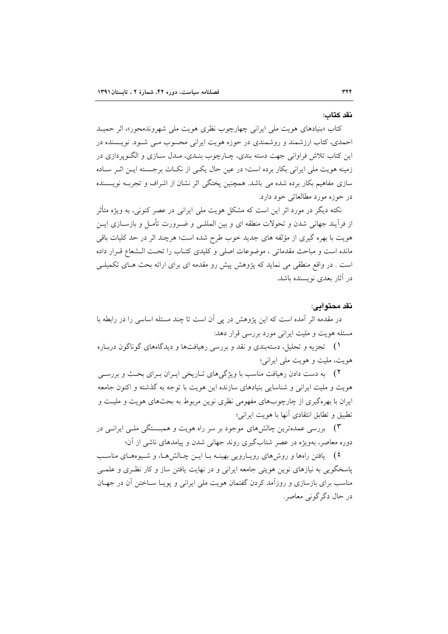#### نقد كتاب:

کتاب «بنیادهای هویت مل<sub>ی</sub> ایرانی چهارچوب نظری هویت ملی شهروندمحور»، اثر حمیــد احمدی، کتاب ارزشمند و روشمندی در حوزه هویت ایرانی محسوب مـی شـود. نویـسنده در این کتاب تلاش فراوانی جهت دسته بندی، چـارچوب بنـدی، مـدل سـازی و الگـوپردازی در زمینه هویت ملی ایرانی بکار برده است؛ در عین حال یکبی از نکبات برجسته ایـن اثـر سـاده سازی مفاهیم بکار برده شده می باشد. همچنین پختگی اثر نشان از اشراف و تجربـه نویـسنده در حوزه مورد مطالعاتی خود دارد.

نکته دیگر در مورد اثر این است که مشکل هویت ملی ایرانی در عصر کنونی، به ویژه متأثر از فرآیند جهانی شدن و تحولات منطقه ای و بین المللـی و ضـرورت تأمـل و بازســازی ایــن هویت با بهره گیری از مؤلفه های جدید خوب طرح شده است؛ هرچند اثر در حد کلیات باقی مانده است و مباحث مقدماتی ، موضوعات اصلی و کلیدی کتـاب را تحـت الــشعاع قــرار داده است . در واقع منطقی می نماید که پژوهش پیش رو مقدمه ای برای ارائه بحث هـای تکمیلـی در آثار بعدی نویسنده باشد.

# نقد محتوابي:

در مقدمه اثر آمده است که این پژوهش در پی آن است تا چند مسئله اساسی را در رابطه با مسئله هويت و مليت ايراني مورد بررسي قرار دهد:

۱) تجزیه و تحلیل، دستهبندی و نقد و بررسی رهیافتها و دیدگاههای گوناگون دربـاره هويت، مليت و هويت ملي ايراني؛

۲) به دست دادن رهیافت مناسب با ویژگیهای تـاریخی ایــران بــرای بحــث و بررســی هويت و مليت ايراني و شناسايي بنيادهاي سازنده اين هويت با توجه به گذشته و اكنون جامعه ایران با بهرهگیری از چارچوبهای مفهومی نظری نوین مربوط به بحثهای هویت و ملیـت و تطبيق و تطابق انتقادى آنها با هويت ايراني؛

۳) بررسی عمدهترین چالش های موجود بر سر راه هویت و همبــستگی ملــی ایرانــی در دوره معاصر، بهویژه در عصر شتابگیری روند جهانی شدن و پیامدهای ناشی از آن؛

٤) \_ يافتن راهها و روشهاى رويــارويى بهينــه بــا ايــن چــالشهــا، و شــيوههــاى مناســب پاسخگویی به نیازهای نوین هویتی جامعه ایرانی و در نهایت یافتن ساز و کار نظـری و علمـی مناسب برای بازسازی و روزآمد کردن گفتمان هویت ملی ایرانی و یوپیا سیاختن آن در جهیان در حال دگر گونی معاصر.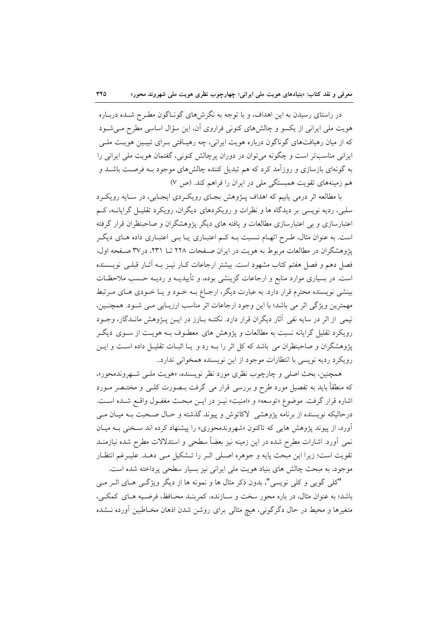در راستای رسیدن به این اهداف، و با توجه به نگرشهای گونـاگون مطـرح شـده دربـاره هویت ملی ایرانی از یکسو و چالشهای کنونی فراروی آن، این سؤال اساسی مطرح مـیشـود که از میان رهیافتهای گوناگون درباره هویت ایرانی، چه رهیـافتی بـرای تبیـین هویـت ملـی ایرانی مناسبتر است و چگونه میتوان در دوران پرچالش کنونی، گفتمان هویت ملی ایرانی را به گونهای بازسازی و روزآمد کرد که هم تبدیل کننده چالشهای موجود بـه فرصـت باشـد و هم زمینههای تقویت همبستگی ملی در ایران را فراهم کند. (ص ۷)

با مطالعه اثر درمی پابیم که اهداف پـژوهش بجـای رویکـردی ایجـابی، در سـایه رویکـرد سلبی، ردیه نویسی بر دیدگاه ها و نظرات و رویکردهای دیگران، رویکرد تقلیـل گرایانــه، کــم اعتبارسازی و بی اعتبارسازی مطالعات و یافته های دیگر پژوهشگران و صاحبنظران قرار گرفته است. به عنوان مثال، طرح اتهـام نــسبت بــه كــم اعتبــاري يــا بــي اعتبــاري داده هــاي ديگــر یژوهشگران در مطالعات مربوط به هویت در ایران صفحات ۲۲۸ تــا ۲۳۱، در۳۷ صفحه اول، فصل دهم و فصل هفتم كتاب مشهود است. بیشتر ارجاعات كـار نيــز بــه آثــار قبلــي نويـــسنده است. در بسیاری موارد منابع و ارجاعات گزینشی بوده، و تأییدیــه و ردیــه حــسب ملاحظــات بینشی نویسنده محترم قرار دارد. به عبارت دیگر، ارجـاع بـه خــود و یــا خــودی هــای مــرتبط مهمترین ویژگی اثر می باشد؛ با این وجود ارجاعات اثر مناسب ارزیـابی مـی شـود. همچنـین، نیمی از اثر در سایه نفی آثار دیگران قرار دارد. نکتـه بـارز در ایــن پــژوهش مانــدگار، وجــود رویکرد تقلیل گرایانه نسبت به مطالعات و پژوهش های معطـوف بــه هویــت از ســوی دیگــر یژوهشگران و صاحبنظران می باشد که کل اثر را بـه رد و یـا اثبـات تقلیـل داده اسـت و ایـن رويكرد رديه نويسي با انتظارات موجود از اين نويسنده همخواني ندارد..

همچنین، بحث اصلی و چارچوب نظری مورد نظر نویسنده، «هویت ملـی شـهروندمحور»، که منطقاً باید به تفصیل مورد طرح و بررسی قرار می گرفت بــصورت کلــی و مختــصر مــورد اشاره قرار گرفت. موضوع «توسعه» و «امنیت» نیـز در ایـن مبحـث مغفـول واقـع شـده اسـت. درحالیکه نویسنده از برنامه پژوهشی لاکاتوش و پیوند گذشته و حـال صـحبت بــه میـان مــی آورد، از پیوند پژوهش هایی که تاکنون «شهروندمحوری» را پیشنهاد کرده اند سـخنی بـه میـان نمی آورد. اشارات مطرح شده در این زمینه نیز بعضاً سطحی و استدلالات مطرح شده نیازمنــد تقويت است؛ زيرا اين مبحث پايه و جوهره اصـلي اثـر را تــشكيل مـي دهــد. عليـرغم انتظـار موجود، به مبحث چالش های بنیاد هویت ملی ایرانی نیز بسیار سطحی پرداخته شده است.

"کلی گویی و کلی نویسی"، بدون ذکر مثال ها و نمونه ها از دیگر ویژگی هـای اثـر مـی باشد؛ به عنوان مثال، در باره محور سخت و سـازنده، كمربنـد محـافظ، فرضـيه هـاي كمكـي، متغیرها و محیط در حال دگرگونی، هیچ مثالی برای روشن شدن اذهان مخـاطبین آورده نــشده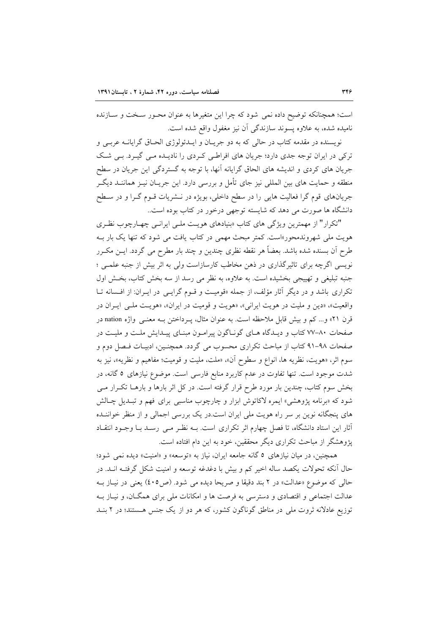است؛ همچنانکه توضیح داده نمی شود که چرا این متغیرها به عنوان محـور سـخت و سـازنده نامیده شده، به علاوه پسوند سازندگی آن نیز مغفول واقع شده است.

نویسنده در مقدمه کتاب در حالی که به دو جریان و ایـدئولوژی الحـاق گرایانـه عربـی و ترکی در ایران توجه جدی دارد؛ جریان های افراطی کردی را نادیـده مـی گیـرد. بـی شـک جریان های کردی و اندیشه های الحاق گرایانه آنها، با توجه به گستردگی این جریان در سطح منطقه و حمایت های بین المللی نیز جای تأمل و بررسی دارد. این جریـان نیــز هماننــد دیگــر جریانهای قوم گرا فعالیت هایی را در سطح داخلی، بویژه در نــشریات قــوم گــرا و در ســطح دانشگاه ها صورت می دهد که شایسته توجهی درخور در کتاب بوده است.

"تکرار" از مهمترین ویژگی های کتاب «بنیادهای هویت ملبی ایرانبی چهارچوب نظری هویت مل<sub>ی</sub> شهروندمحور»است. کمتر مبحث مهمی در کتاب یافت می شود که تنها یک بار بـه طرح اَن بسنده شده باشد. بعضاً هر نقطه نظري چندين و چند بار مطرح مي گردد. ايــن مكــرر نویسی اگرچه برای تاثیرگذاری در ذهن مخاطب کارسازاست ولی به اثر بیش از جنبه علمــی ؛ جنبه تبلیغی و تهییجی بخشیده است. به علاوه، به نظر می رسد از سه بخش کتاب، بخش اول تکراری باشد و در دیگر آثار مؤلف، از جمله «قومیت و قــوم گرایــی در ایــران: از افــسانه تــا واقعیت»، «دین و ملیت در هویت ایرانی»، «هویت و قومیت در ایران»، «هویت ملبی ایبران در قرن ۲۱» و… کم و بیش قابل ملاحظه است. به عنوان مثال، پـرداختن بــه معنــی واژه nation در صفحات ۸۰-۷۷ کتاب و دیـدگاه هـای گونـاگون پیرامـون مبنـای پیـدایش ملـت و ملیـت در صفحات ۹۸-۹۱ کتاب از مباحث تکراری محسوب می گردد. همچنـین، ادبیـات فـصل دوم و سوم اثر، «هويت، نظريه ها، انواع و سطوح آن»، «ملت، مليت و قوميت؛ مفاهيم و نظريه»، نيز به شدت موجود است. تنها تفاوت در عدم کاربرد منابع فارسی است. موضوع نیازهای ٥ گانه، در بخش سوم کتاب، چندین بار مورد طرح قرار گرفته است. در کل اثر بارها و بارهــا تکــرار مــی شود که «برنامه پژوهشی» ایمره لاکاتوش ابزار و چارچوب مناسبی برای فهم و تبـدیل چـالش های پنجگانه نوین بر سر راه هویت ملی ایران است.در یک بررسی اجمالی و از منظر خواننـده أثار این استاد دانشگاه، تا فصل چهارم اثر تکراری است. بـه نظـر مـی رسـد بـا وجـود انتقـاد یژوهشگر از مباحث تکراری دیگر محققین، خود به این دام افتاده است.

همچنین، در میان نیازهای ٥ گانه جامعه ایران، نیاز به «توسعه» و «امنیت» دیده نمی شود؛ حال آنکه تحولات یکصد ساله اخیر کم و بیش با دغدغه توسعه و امنیت شکل گرفتـه انــد. در حالي كه موضوع «عدالت» در ٢ بند دقيقا و صريحا ديده مي شود. (ص٤٠٥) يعني در نيــاز بــه عدالت اجتماعی و اقتصادی و دسترسی به فرصت ها و امکانات ملی برای همگـان، و نیـاز بـه توزیع عادلانه ثروت ملی در مناطق گوناگون کشور، که هر دو از یک جنس هستند؛ در ۲ بنـد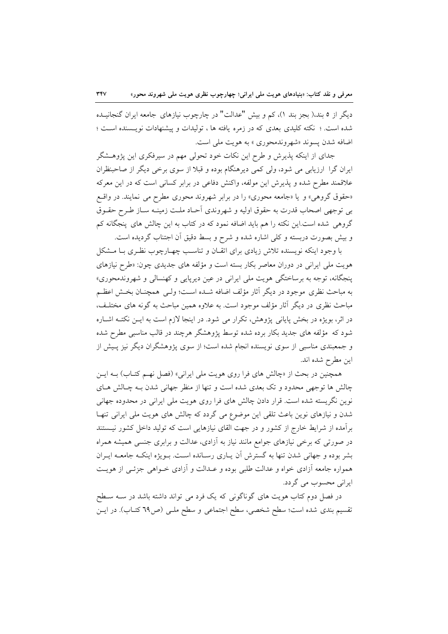دیگر از ٥ بند،( بجز بند ١)، کم و بیش "عدالت" در چارچوب نیازهای جامعه ایران گنجانیـده شده است. ؛ نکته کلیدی بعدی که در زمره یافته ها ، تولیدات و پیشنهادات نویستنده است ؛ اضافه شدن پسوند «شهروندمحوري » به هويت ملي است.

جدای از اینکه پذیرش و طرح این نکات خود تحولی مهم در سیرفکری این پژوهـشگر ایران گرا ارزیابی می شود، ولی کمی دیرهنگام بوده و قبلا از سوی برخی دیگر از صاحبنظران علاقمند مطرح شده و پذیرش این مولفه، واکنش دفاعی در برابر کسانی است که در این معرکه «حقوق گروهی» و یا «جامعه محوری» را در برابر شهروند محوری مطرح می نمایند. در واقع بی توجهی اصحاب قدرت به حقوق اولیه و شهروندی آحـاد ملـت زمینـه سـاز طـرح حقــوق گروهی شده است.این نکته را هم باید اضافه نمود که در کتاب به این چالش های پنجگانه کم و بيش بصورت دربسته و كلَّى اشاره شده و شرح و بسط دقيق آن اجتناب گرديده است.

با وجود اینکه نویسنده تلاش زیادی برای اتقـان و تناسـب چهـارچوب نظـری بــا مــشکل هویت ملی ایرانی در دوران معاصر بکار بسته است و مؤلفه های جدیدی چون: «طرح نیازهای پنجگانه، توجه به برساختگی هویت ملی ایرانی در عین دیرپایی و کهنسالی و شهروندمحوری» به مباحث نظري موجود در ديگر آثار مؤلف اضافه شــده اسـت؛ ولــي همچنــان بخــش اعظــم مباحث نظری در دیگر آثار مؤلف موجود است. به علاوه همین مباحث به گونه های مختلـف، در اثر، بویژه در بخش پایانی پژوهش، تکرار می شود. در اینجا لازم است به ایـن نکتـه اشـاره شود که ً مؤلفه های جدید بکار برده شده توسط پژوهشگر هرچند در قالب مناسبی مطرح شده و جمعبندی مناسبی از سوی نویسنده انجام شده است؛ از سوی پژوهشگران دیگر نیز پـیش از اين مطرح شده اند.

همچنین در بحث از «چالش های فرا روی هویت ملی ایرانی» (فصل نهـم کتـاب) بـه ایــن چالش ها توجهی محدود و تک بعدی شده است و تنها از منظر جهانی شدن بـه چـالش هـای نوین نگریسته شده است. قرار دادن چالش های فرا روی هویت ملی ایرانی در محدوده جهانی شدن و نیازهای نوین باعث تلقی این موضوع می گردد که چالش های هویت ملی ایرانی تنها برآمده از شرایط خارج از کشور و در جهت القای نیازهایی است که تولید داخل کشور نیستند در صورتی که برخی نیازهای جوامع مانند نیاز به آزادی، عدالت و برابری جنسی همیشه همراه بشر بوده و جهانی شدن تنها به گسترش آن پیاری رسیانده است. بـویژه اینکـه جامعـه ایـران همواره جامعه أزادي خواه و عدالت طلبي بوده و عـدالت و أزادي خـواهي جزئـي از هويـت ایرانی محسوب می گردد.

در فصل دوم کتاب هویت های گوناگونی که یک فرد می تواند داشته باشد در سـه سـطح تقسیم بندی شده است؛ سطح شخصی، سطح اجتماعی و سطح ملـی (ص٦٩ کتـاب). در ایـن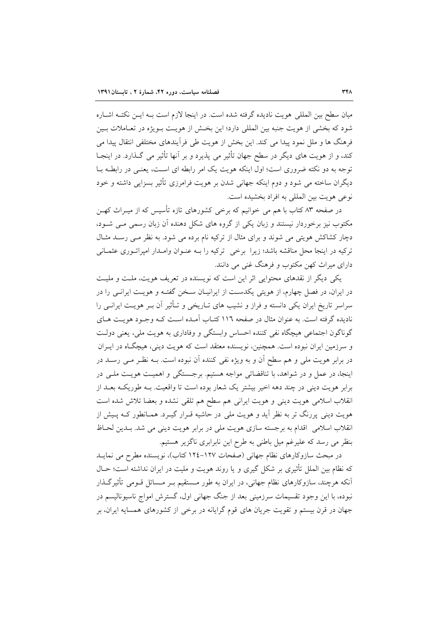میان سطح بین المللی هویت نادیده گرفته شده است. در اینجا لازم است بـه ایــن نکتـه اشــاره شود که بخشی از هویت جنبه بین المللی دارد؛ این بخش از هویـت بـویژه در تعـاملات بـین فرهنگ ها و ملل نمود پیدا می کند. این بخش از هویت طی فرآیندهای مختلفی انتقال پیدا می کند، و از هویت های دیگر در سطح جهان تأثیر می پذیرد و بر آنها تأثیر می گـذارد. در اینجـا توجه به دو نکته ضروری است؛ اول اینکه هویت یک امر رابطه ای است، یعنبی در رابطـه بــا دیگران ساخته می شود و دوم اینکه جهانی شدن بر هویت فرامرزی تأثیر بسزایی داشته و خود نوعي هويت بين المللي به افراد بخشيده است.

در صفحه ۸۳ کتاب با هم می خوانیم که برخی کشورهای تازه تأسیس که از میـراث کهـن مکتوب نیز برخوردار نیستند و زبان یکی از گروه های شکل دهنده آن زبان رسمی مـی شـود، دچار کشاکش هویتی می شوند و برای مثال از ترکیه نام برده می شود. به نظر مـی رسـد مثـال ترکیه در اینجا محل مناقشه باشد؛ زیرا برخی ترکیه را بـه عنـوان وامـدار امیراتـوری عثمـانی دارای میراث کهن مکتوب و فرهنگ غنی می دانند.

یکی دیگر از نقدهای محتوایی اثر این است که نویسنده در تعریف هویت، ملت و ملیت در ایران، در فصل چهارم، از هویتی یکدست از ایرانیـان سـخن گفتـه و هویـت ایرانـی را در سراسر تاریخ ایران یکی دانسته و فراز و نشیب های تـاریخی و تــأثیر آن بــر هویــت ایرانــی را نادیده گرفته است. به عنوان مثال در صفحه ۱۱٦ کتـاب آمـده اسـت کـه وجـود هویـت هـای گوناگون اجتماعی هیچگاه نفی کننده احساس وابستگی و وفاداری به هویت ملی، یعنی دولت و سرزمین ایران نبوده است. همچنین، نویسنده معتقد است که هویت دینی، هیچگاه در ایـران در برابر هويت ملي و هم سطح آن و به ويژه نفي كننده آن نبوده است. بـه نظـر مـي رسـد در اینجا، در عمل و در شواهد، با تناقضاتی مواجه هستیم. برجستگی و اهمیت هویت ملبی در برابر هویت دینی در چند دهه اخیر بیشتر یک شعار بوده است تا واقعیت. بـه طوریکـه بعـد از انقلاب اسلامی هویت دینی و هویت ایرانی هم سطح هم تلقی نشده و بعضا تلاش شده است هویت دینی پررنگ تر به نظر آید و هویت ملی در حاشیه قـرار گیـرد. همـانطور کــه پـیش از انقلاب اسلامی اقدام به برجسته سازی هویت ملی در برابر هویت دینی می شد. بـدین لحـاظ بنظر می رسد که علیرغم میل باطنی به طرح این نابرابری ناگزیر هستیم.

در مبحث سازوكارهاى نظام جهاني (صفحات ١٢٧-١٢٤ كتاب)، نويسنده مطرح مي نمايـد که نظام بین الملل تأثیری بر شکل گیری و یا روند هویت و ملیت در ایران نداشته است؛ حـال آنکه هرچند، سازوکارهای نظام جهانی، در ایران به طور مـستقیم بـر مـسائل قــومی تأثیرگــذار نبوده، با این وجود تقسیمات سرزمینی بعد از جنگ جهانی اول، گسترش امواج ناسیونالیسم در جهان در قرن بیستم و تقویت جریان های قوم گرایانه در برخی از کشورهای همسایه ایران، بر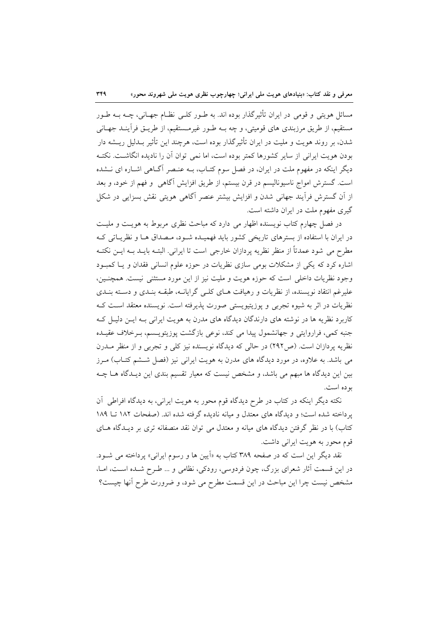مسائل هویتی و قومی در ایران تأثیرگذار بوده اند. به طـور کلـی نظـام جهـانی، چــه بــه طـور مستقيم، از طريق مرزبندي هاي قوميتي، و چه بــه طــور غيرمــستقيم، از طريــق فرآينــد جهــاني شدن، بر روند هویت و ملیت در ایران تأثیرگذار بوده است، هرچند این تأثیر بـدلیل ریــشه دار بودن هويت ايراني از ساير كشورها كمتر بوده است، اما نمي توان آن را ناديده انگاشــت. نكتــه دیگر اینکه در مفهوم ملت در ایران، در فصل سوم کتـاب، بـه عنـصر آگــاهی اشــاره ای نــشده است. گسترش امواج ناسیونالیسم در قرن بیستم، از طریق افزایش آگاهی و فهم از خود، و بعد از آن گسترش فرآیند جهانی شدن و افزایش بیشتر عنصر آگاهی هویتی نقش بسزایی در شکل گیری مفهوم ملت در ایران داشته است.

در فصل چهارم کتاب نویسنده اظهار می دارد که مباحث نظری مربوط به هویـت و ملیـت در ایران با استفاده از بسترهای تاریخی کشور باید فهمیـده شـود، مـصداق هـا و نظریـاتی کـه مطرح می شود عمدتاً از منظر نظریه پردازان خارجی است تا ایرانی. البتــه بایــد بــه ایــن نکتــه اشاره کرد که یکی از مشکلات بومی سازی نظریات در حوزه علوم انسانی فقدان و یـا کمبـود وجود نظریات داخلی است که حوزه هویت و ملیت نیز از این مورد مستثنی نیست. همچنـین، علیرغم انتقاد نویسنده، از نظریات و رهیافت هـای کلـی گرایانـه، طبقـه بنـدی و دسـته بنـدی نظریات در اثر به شیوه تجربی و پوزیتیویستی صورت پذیرفته است. نویسنده معتقد است ک کاربرد نظریه ها در نوشته های دارندگان دیدگاه های مدرن به هویت ایرانی بـه ایـن دلیـل کـه جنبه کمی، فراروایتی و جهانشمول پیدا می کند، نوعی بازگشت پوزیتویـسم، بـرخلاف عقیــده نظریه پردازان است. (ص۲۹۲) در حالی که دیدگاه نویسنده نیز کلی و تجربی و از منظر مــدرن می باشد. به علاوه، در مورد دیدگاه های مدرن به هویت ایرانی نیز (فصل شــشم کتــاب) مــرز بین این دیدگاه ها مبهم می باشد، و مشخص نیست که معیار تقسیم بندی این دیـدگاه هـا چـه بو ده است.

نکته دیگر اینکه در کتاب در طرح دیدگاه قوم محور به هویت ایرانی، به دیدگاه افراطی آن پرداخته شده است؛ و دیدگاه های معتدل و میانه نادیده گرفته شده اند. (صفحات ١٨٢ تــا ١٨٩ کتاب) با در نظر گرفتن دیدگاه های میانه و معتدل می توان نقد منصفانه تری بر دیـدگاه هــای قوم محور به هويت ايراني داشت.

نقد دیگر این است که در صفحه ۳۸۹ کتاب به «اَپین ها و رسوم ایرانی» پرداخته می شـود. در این قسمت آثار شعرای بزرگ، چون فردوسی، رودکی، نظامی و … طـرح شـده اسـت، امـا، مشخص نیست چرا این مباحث در این قسمت مطرح می شود، و ضرورت طرح آنها چیست؟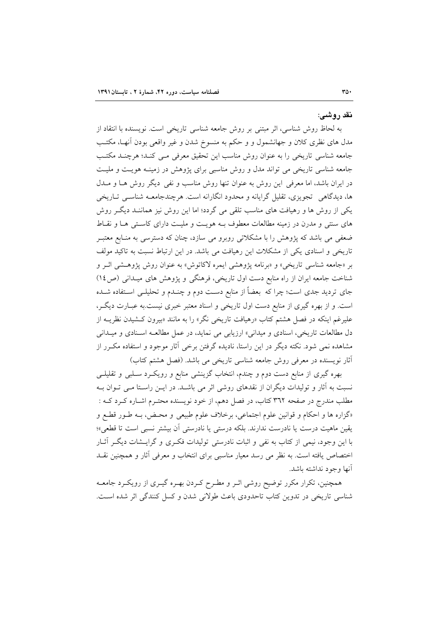نقد روشبي:

به لحاظ روش شناسی، اثر مبتنی بر روش جامعه شناسی تاریخی است. نویسنده با انتقاد از مدل های نظری کلان و جهانشمول و و حکم به منسوخ شدن و غیر واقعی بودن آنهـا، مکتـب جامعه شناسی تاریخی را به عنوان روش مناسب این تحقیق معرفی مـی کنـد؛ هرچنـد مکتـب جامعه شناسی تاریخی می تواند مدل و روش مناسبی برای پژوهش در زمینـه هویـت و ملیـت در ایران باشد، اما معرفی این روش به عنوان تنها روش مناسب و نفی دیگر روش هـا و مــدل ها، ديدگاهي تجويزي، تقليل گرايانه و محدود انگارانه است. هرچندجامعـه شناسـي تــاريخي یکی از روش ها و رهیافت های مناسب تلقی می گردد؛ اما این روش نیز هماننـد دیگـر روش های سنتی و مدرن در زمینه مطالعات معطوف بـه هویـت و ملیـت دارای کاسـتی هـا و نقـاط ضعفی می باشد که پژوهش را با مشکلاتی روبرو می سازد، چنان که دسترسی به منـابع معتبـر تاریخی و اسنادی یکی از مشکلات این رهیافت می باشد. در این ارتباط نسبت به تاکید مولف بر «جامعه شناسی تاریخی» و «برنامه پژوهشی ایمره لاکاتوش» به عنوان روش پژوهـشی اثـر و شناخت جامعه ایران از راه منابع دست اول تاریخی، فرهنگی و پژوهش های میـدانی (ص١٤) جای تردید جدی است؛ چرا که بعضاً از منابع دست دوم و چنــدم و تحلیلــی اســتفاده شــده است. و از بهره گیری از منابع دست اول تاریخی و اسناد معتبر خبری نیست.به عبـارت دیگـر، علیرغم اینکه در فصل هشتم کتاب «رهیافت تاریخی نگر» را به مانند «بیرون کـشیدن نظریــه از دل مطالعات تاریخی، اسنادی و میدانی» ارزیابی می نماید، در عمل مطالعـه اسـنادی و میـدانی مشاهده نمی شود. نکته دیگر در این راستا، نادیده گرفتن برخی آثار موجود و استفاده مکـرر از أثار نویسنده در معرفی روش جامعه شناسی تاریخی می باشد. (فصل هشتم کتاب)

بهره گیری از منابع دست دوم و چندم، انتخاب گزینشی منابع و رویک رد سـلبی و تقلیلـی نسبت به آثار و تولیدات دیگران از نقدهای روشی اثر می باشـد. در ایــن راسـتا مــی تــوان بــه مطلب مندرج در صفحه ۳٦٢ کتاب، در فصل دهم، از خود نویسنده محتــرم اشــاره کــرد کــه : «گزاره ها و احکام و قوانین علوم اجتماعی، برخلاف علوم طبیعی و محـض، بـه طـور قطـع و يقين ماهيت درست يا نادرست ندارند. بلكه درستي يا نادرستي أن بيشتر نسبي است تا قطعي»؛ با این وجود، نیمی از کتاب به نفی و اثبات نادرستی تولیدات فکری و گرایـشات دیگـر آثـار اختصاص یافته است. به نظر می رسد معیار مناسبی برای انتخاب و معرفی آثار و همچنین نقـد آنها وجود نداشته باشد.

همچنین، تکرار مکرر توضیح روشی اثـر و مطـرح کـردن بهـره گیـری از رویکـرد جامعـه شناسی تاریخی در تدوین کتاب تاحدودی باعث طولانی شدن و کسل کنندگی اثر شده است.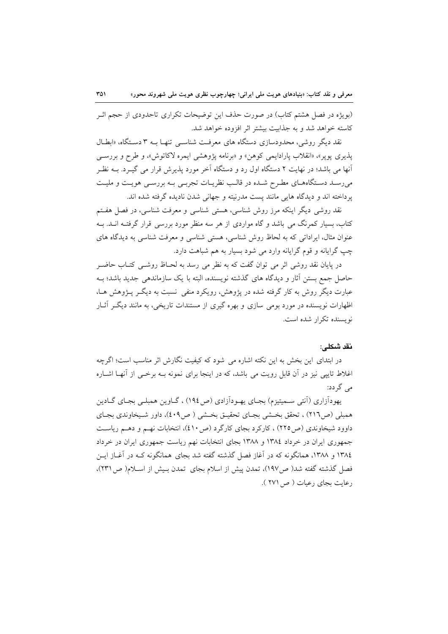(بویژه در فصل هشتم کتاب) در صورت حذف این توضیحات تکراری تاحدودی از حجم اثـر كاسته خواهد شد و به جذابت بیشتر اثر افزوده خواهد شد.

نقد دیگر روشی، محدودسازی دستگاه های معرفت شناسبی تنهـا بــه ۳ دسـتگاه، «ابطــال پذیری پوپر»، «انقلاب پارادایمی کوهن» و «برنامه پژوهشی ایمره لاکاتوش»، و طرح و بررســی آنها می باشد؛ در نهایت ۲ دستگاه اول رد و دستگاه آخر مورد پذیرش قرار می گیـرد. بــه نظـر میرسد دستگاههای مطرح شده در قالب نظریات تجربـی بـه بررسـی هویـت و ملیـت یر داخته اند و دیدگاه هایی مانند پست مدرنیته و جهانی شدن نادیده گرفته شده اند.

نقد روشی دیگر اینکه مرز روش شناسی، هستی شناسی و معرفت شناسی، در فصل هفتم کتاب، بسیار کمرنگ می باشد و گاه مواردی از هر سه منظر مورد بررسی قرار گرفتـه انــد. بــه عنوان مثال، ایراداتی که به لحاظ روش شناسی، هستی شناسی و معرفت شناسی به دیدگاه های چپ گرایانه و قوم گرایانه وارد می شود بسیار به هم شباهت دارد.

در پایان نقد روشی اثر می توان گفت که به نظر می رسد به لحـاظ روشـی کتـاب حاضـر حاصل جمع بستن آثار و دیدگاه های گذشته نویسنده، البته با یک سازماندهی جدید باشد؛ بـه عبارت دیگر روش به کار گرفته شده در پژوهش، رویکرد منفی نسبت به دیگـر پـژوهش هـا، اظهارات نویسنده در مورد بومی سازی و بهره گیری از مستندات تاریخی، به مانند دیگ آثـار نو بسنده تکرار شده است.

# نقد شكلي:

در ابتدای این بخش به این نکته اشاره می شود که کیفیت نگارش اثر مناسب است؛ اگرچه اغلاط تایپی نیز در آن قابل رویت می باشد، که در اینجا برای نمونه بـه برخـی از آنهـا اشــاره می گر دد:

یهوداًزاری (اَنتی سـمیتیزم) بجـای یهـوداَزادی (ص١٩٤) ، گــاوین همبلــی بجـای گــادین همبلی (ص٢١٦) ، تحقق بخشی بجای تحقیق بخشی ( ص٤٠٩)، داور شیخاوندی بجای داوود شیخاوندی (ص ۲۲۵) ، کارکرد بجای کارگرد (ص ٤١٠)، انتخابات نهم و دهـم ریاسـت جمهوری ایران در خرداد ۱۳۸٤ و ۱۳۸۸ بجای انتخابات نهم ریاست جمهوری ایران در خرداد ١٣٨٤ و ١٣٨٨، همانگونه كه در آغاز فصل گذشته گفته شد بجاي همانگونه كـه در آغــاز ايــن فصل گذشته گفته شد( ص١٩٧)، تمدن پیش از اسلام بجای تمدن بـیش از اسـلام( ص١٣١)، رعايت بجاي رعيات (ص ٢٧١).